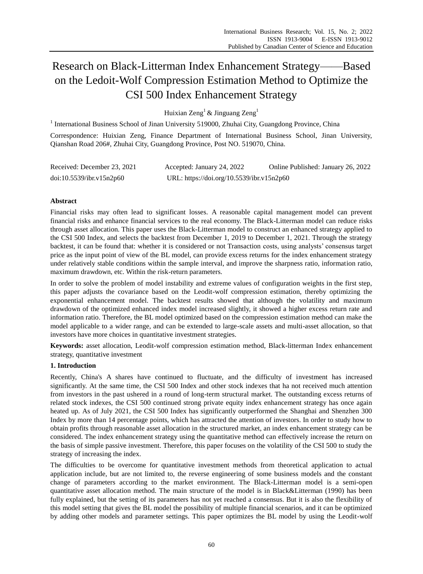# Research on Black-Litterman Index Enhancement Strategy——Based on the Ledoit-Wolf Compression Estimation Method to Optimize the CSI 500 Index Enhancement Strategy

Huixian  $\text{Zeng}^1 \& \text{Jinguang Zeng}^1$ 

<sup>1</sup> International Business School of Jinan University 519000, Zhuhai City, Guangdong Province, China

Correspondence: Huixian Zeng, Finance Department of International Business School, Jinan University, Qianshan Road 206#, Zhuhai City, Guangdong Province, Post NO. 519070, China.

| Received: December 23, 2021 | Accepted: January 24, 2022                | Online Published: January 26, 2022 |
|-----------------------------|-------------------------------------------|------------------------------------|
| doi:10.5539/ibr.v15n2p60    | URL: https://doi.org/10.5539/ibr.v15n2p60 |                                    |

# **Abstract**

Financial risks may often lead to significant losses. A reasonable capital management model can prevent financial risks and enhance financial services to the real economy. The Black-Litterman model can reduce risks through asset allocation. This paper uses the Black-Litterman model to construct an enhanced strategy applied to the CSI 500 Index, and selects the backtest from December 1, 2019 to December 1, 2021. Through the strategy backtest, it can be found that: whether it is considered or not Transaction costs, using analysts' consensus target price as the input point of view of the BL model, can provide excess returns for the index enhancement strategy under relatively stable conditions within the sample interval, and improve the sharpness ratio, information ratio, maximum drawdown, etc. Within the risk-return parameters.

In order to solve the problem of model instability and extreme values of configuration weights in the first step, this paper adjusts the covariance based on the Leodit-wolf compression estimation, thereby optimizing the exponential enhancement model. The backtest results showed that although the volatility and maximum drawdown of the optimized enhanced index model increased slightly, it showed a higher excess return rate and information ratio. Therefore, the BL model optimized based on the compression estimation method can make the model applicable to a wider range, and can be extended to large-scale assets and multi-asset allocation, so that investors have more choices in quantitative investment strategies.

**Keywords:** asset allocation, Leodit-wolf compression estimation method, Black-litterman Index enhancement strategy, quantitative investment

# **1. Introduction**

Recently, China's A shares have continued to fluctuate, and the difficulty of investment has increased significantly. At the same time, the CSI 500 Index and other stock indexes that ha not received much attention from investors in the past ushered in a round of long-term structural market. The outstanding excess returns of related stock indexes, the CSI 500 continued strong private equity index enhancement strategy has once again heated up. As of July 2021, the CSI 500 Index has significantly outperformed the Shanghai and Shenzhen 300 Index by more than 14 percentage points, which has attracted the attention of investors. In order to study how to obtain profits through reasonable asset allocation in the structured market, an index enhancement strategy can be considered. The index enhancement strategy using the quantitative method can effectively increase the return on the basis of simple passive investment. Therefore, this paper focuses on the volatility of the CSI 500 to study the strategy of increasing the index.

The difficulties to be overcome for quantitative investment methods from theoretical application to actual application include, but are not limited to, the reverse engineering of some business models and the constant change of parameters according to the market environment. The Black-Litterman model is a semi-open quantitative asset allocation method. The main structure of the model is in Black&Litterman (1990) has been fully explained, but the setting of its parameters has not yet reached a consensus. But it is also the flexibility of this model setting that gives the BL model the possibility of multiple financial scenarios, and it can be optimized by adding other models and parameter settings. This paper optimizes the BL model by using the Leodit-wolf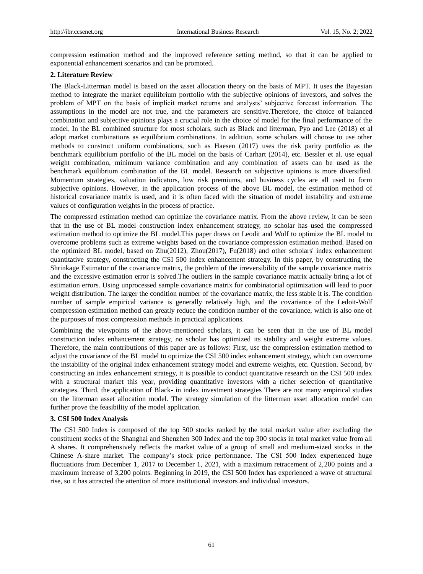compression estimation method and the improved reference setting method, so that it can be applied to exponential enhancement scenarios and can be promoted.

## **2. Literature Review**

The Black-Litterman model is based on the asset allocation theory on the basis of MPT. It uses the Bayesian method to integrate the market equilibrium portfolio with the subjective opinions of investors, and solves the problem of MPT on the basis of implicit market returns and analysts' subjective forecast information. The assumptions in the model are not true, and the parameters are sensitive.Therefore, the choice of balanced combination and subjective opinions plays a crucial role in the choice of model for the final performance of the model. In the BL combined structure for most scholars, such as Black and litterman, Pyo and Lee (2018) et al adopt market combinations as equilibrium combinations. In addition, some scholars will choose to use other methods to construct uniform combinations, such as Haesen (2017) uses the risk parity portfolio as the benchmark equilibrium portfolio of the BL model on the basis of Carhart (2014), etc. Bessler et al. use equal weight combination, minimum variance combination and any combination of assets can be used as the benchmark equilibrium combination of the BL model. Research on subjective opinions is more diversified. Momentum strategies, valuation indicators, low risk premiums, and business cycles are all used to form subjective opinions. However, in the application process of the above BL model, the estimation method of historical covariance matrix is used, and it is often faced with the situation of model instability and extreme values of configuration weights in the process of practice.

The compressed estimation method can optimize the covariance matrix. From the above review, it can be seen that in the use of BL model construction index enhancement strategy, no scholar has used the compressed estimation method to optimize the BL model.This paper draws on Leodit and Wolf to optimize the BL model to overcome problems such as extreme weights based on the covariance compression estimation method. Based on the optimized BL model, based on Zhu(2012), Zhou(2017), Fu(2018) and other scholars' index enhancement quantitative strategy, constructing the CSI 500 index enhancement strategy. In this paper, by constructing the Shrinkage Estimator of the covariance matrix, the problem of the irreversibility of the sample covariance matrix and the excessive estimation error is solved.The outliers in the sample covariance matrix actually bring a lot of estimation errors. Using unprocessed sample covariance matrix for combinatorial optimization will lead to poor weight distribution. The larger the condition number of the covariance matrix, the less stable it is. The condition number of sample empirical variance is generally relatively high, and the covariance of the Ledoit-Wolf compression estimation method can greatly reduce the condition number of the covariance, which is also one of the purposes of most compression methods in practical applications.

Combining the viewpoints of the above-mentioned scholars, it can be seen that in the use of BL model construction index enhancement strategy, no scholar has optimized its stability and weight extreme values. Therefore, the main contributions of this paper are as follows: First, use the compression estimation method to adjust the covariance of the BL model to optimize the CSI 500 index enhancement strategy, which can overcome the instability of the original index enhancement strategy model and extreme weights, etc. Question. Second, by constructing an index enhancement strategy, it is possible to conduct quantitative research on the CSI 500 index with a structural market this year, providing quantitative investors with a richer selection of quantitative strategies. Third, the application of Black- in index investment strategies There are not many empirical studies on the litterman asset allocation model. The strategy simulation of the litterman asset allocation model can further prove the feasibility of the model application.

## **3. CSI 500 Index Analysis**

The CSI 500 Index is composed of the top 500 stocks ranked by the total market value after excluding the constituent stocks of the Shanghai and Shenzhen 300 Index and the top 300 stocks in total market value from all A shares. It comprehensively reflects the market value of a group of small and medium-sized stocks in the Chinese A-share market. The company's stock price performance. The CSI 500 Index experienced huge fluctuations from December 1, 2017 to December 1, 2021, with a maximum retracement of 2,200 points and a maximum increase of 3,200 points. Beginning in 2019, the CSI 500 Index has experienced a wave of structural rise, so it has attracted the attention of more institutional investors and individual investors.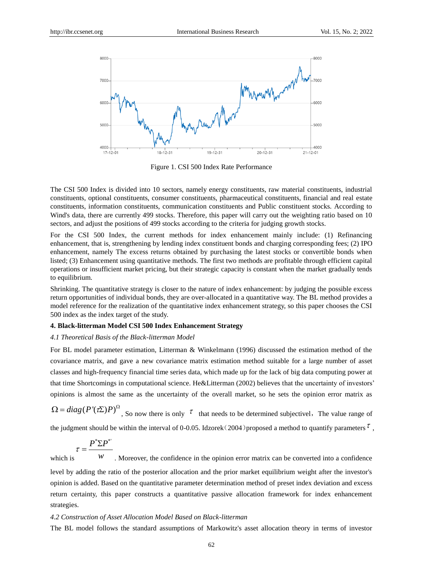

Figure 1. CSI 500 Index Rate Performance

The CSI 500 Index is divided into 10 sectors, namely energy constituents, raw material constituents, industrial constituents, optional constituents, consumer constituents, pharmaceutical constituents, financial and real estate constituents, information constituents, communication constituents and Public constituent stocks. According to Wind's data, there are currently 499 stocks. Therefore, this paper will carry out the weighting ratio based on 10 sectors, and adjust the positions of 499 stocks according to the criteria for judging growth stocks.

For the CSI 500 Index, the current methods for index enhancement mainly include: (1) Refinancing enhancement, that is, strengthening by lending index constituent bonds and charging corresponding fees; (2) IPO enhancement, namely The excess returns obtained by purchasing the latest stocks or convertible bonds when listed; (3) Enhancement using quantitative methods. The first two methods are profitable through efficient capital operations or insufficient market pricing, but their strategic capacity is constant when the market gradually tends to equilibrium.

Shrinking. The quantitative strategy is closer to the nature of index enhancement: by judging the possible excess return opportunities of individual bonds, they are over-allocated in a quantitative way. The BL method provides a model reference for the realization of the quantitative index enhancement strategy, so this paper chooses the CSI 500 index as the index target of the study.

# **4. Black-litterman Model CSI 500 Index Enhancement Strategy**

# *4.1 Theoretical Basis of the Black-litterman Model*

For BL model parameter estimation, Litterman & Winkelmann (1996) discussed the estimation method of the covariance matrix, and gave a new covariance matrix estimation method suitable for a large number of asset classes and high-frequency financial time series data, which made up for the lack of big data computing power at that time Shortcomings in computational science. He&Litterman (2002) believes that the uncertainty of investors' opinions is almost the same as the uncertainty of the overall market, so he sets the opinion error matrix as

 $\Omega = diag(P'(\tau \Sigma)P)^{\Omega}$ , So now there is only  $\tau$  that needs to be determined subjectivel, The value range of the judgment should be within the interval of 0-0.05. Idzorek (2004) proposed a method to quantify parameters  $\tau$ ,

$$
\tau = \frac{P^* \Sigma P^*}{}
$$

which is *w* . Moreover, the confidence in the opinion error matrix can be converted into a confidence level by adding the ratio of the posterior allocation and the prior market equilibrium weight after the investor's opinion is added. Based on the quantitative parameter determination method of preset index deviation and excess return certainty, this paper constructs a quantitative passive allocation framework for index enhancement strategies.

#### *4.2 Construction of Asset Allocation Model Based on Black-litterman*

The BL model follows the standard assumptions of Markowitz's asset allocation theory in terms of investor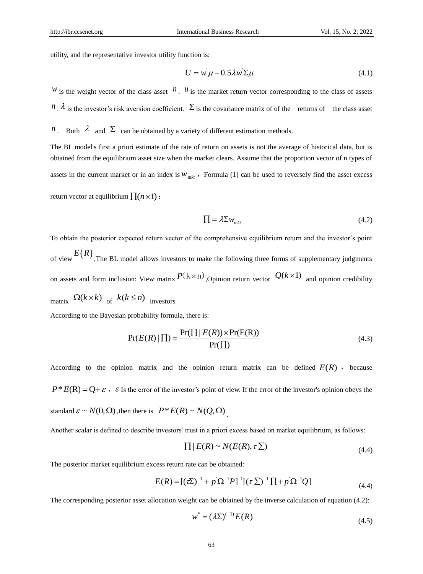utility, and the representative investor utility function is:

$$
U = w \mu - 0.5 \lambda w \Sigma \mu \tag{4.1}
$$

*W* is the weight vector of the class asset  $n$ . *U* is the market return vector corresponding to the class of assets  $n \cdot \lambda$  is the investor's risk aversion coefficient.  $\Sigma$  is the covariance matrix of of the returns of the class asset

*n*. Both  $\lambda$  and  $\Sigma$  can be obtained by a variety of different estimation methods.

The BL model's first a priori estimate of the rate of return on assets is not the average of historical data, but is obtained from the equilibrium asset size when the market clears. Assume that the proportion vector of n types of assets in the current market or in an index is  $w_{mkt}$ , Formula (1) can be used to reversely find the asset excess return vector at equilibrium  $\prod(n \times 1)$ :

$$
\Pi = \lambda \Sigma w_{mkt} \tag{4.2}
$$

To obtain the posterior expected return vector of the comprehensive equilibrium return and the investor's point of view  $E(R)$ , The BL model allows investors to make the following three forms of supplementary judgments on assets and form inclusion: View matrix  $P(k \times n)$ , Opinion return vector  $Q(k \times 1)$  and opinion credibility matrix  $\Omega(k \times k)$  of  $k(k \leq n)$  investors

According to the Bayesian probability formula, there is:

$$
Pr(E(R) | \Pi) = \frac{Pr(\Pi | E(R)) \times Pr(E(R))}{Pr(\Pi)}
$$
(4.3)

According to the opinion matrix and the opinion return matrix can be defined  $E(R)$ , because  $P^* E(R) = Q + \varepsilon$ ,  $\varepsilon$  Is the error of the investor's point of view. If the error of the investor's opinion obeys the standard  $\varepsilon \sim N(0, \Omega)$ , then there is  $P * E(R) \sim N(Q, \Omega)$ .

Another scalar is defined to describe investors' trust in a priori excess based on market equilibrium, as follows:

$$
\prod | E(R) \sim N(E(R), \tau \Sigma) \tag{4.4}
$$

The posterior market equilibrium excess return rate can be obtained:  
\n
$$
E(R) = [(\tau \Sigma)^{-1} + p \,\Omega^{-1} P]^{-1} [(\tau \,\Sigma)^{-1} \,\Pi + p \,\Omega^{-1} Q] \tag{4.4}
$$

The corresponding posterior asset allocation weight can be obtained by the inverse calculation of equation (4.2):

$$
w^* = (\lambda \Sigma)^{(-1)} E(R)
$$
\n(4.5)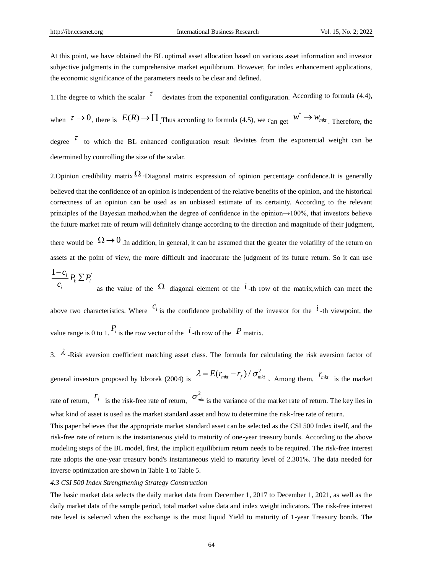At this point, we have obtained the BL optimal asset allocation based on various asset information and investor subjective judgments in the comprehensive market equilibrium. However, for index enhancement applications, the economic significance of the parameters needs to be clear and defined.

1. The degree to which the scalar  $\tau$ deviates from the exponential configuration. According to formula (4.4),

when  $\tau \to 0$ , there is  $E(R) \to \prod_{n=1}^{\infty} T_n$  according to formula (4.5), we can get  $w^* \to w_{mkt}$ . Therefore, the degree  $\tau$  to which the BL enhanced configuration result deviates from the exponential weight can be determined by controlling the size of the scalar.

2. Opinion credibility matrix  $\Omega$ -Diagonal matrix expression of opinion percentage confidence. It is generally believed that the confidence of an opinion is independent of the relative benefits of the opinion, and the historical correctness of an opinion can be used as an unbiased estimate of its certainty. According to the relevant principles of the Bayesian method,when the degree of confidence in the opinion→100%, that investors believe the future market rate of return will definitely change according to the direction and magnitude of their judgment,

there would be  $\Omega \rightarrow 0$ . In addition, in general, it can be assumed that the greater the volatility of the return on assets at the point of view, the more difficult and inaccurate the judgment of its future return. So it can use

$$
\frac{1-c_i}{c_i} P_i \sum P_i
$$
 as the value of the  $\Omega$  diagonal element of the *i*-th row of the matrix, which can meet the

above two characteristics. Where  $c_i$  is the confidence probability of the investor for the  $i$ -th viewpoint, the value range is 0 to 1.  $P_i$  is the row vector of the  $i$ -th row of the P matrix.

3.  $\lambda$  -Risk aversion coefficient matching asset class. The formula for calculating the risk aversion factor of general investors proposed by Idzorek (2004) is  $\lambda = E(r_{mkt} - r_f) / \sigma_{mkt}^2$ , Among them,  $r_{mkt}$  is the market rate of return,  $r_f$  is the risk-free rate of return,  $\sigma_{mkt}^2$  is the variance of the market rate of return. The key lies in

what kind of asset is used as the market standard asset and how to determine the risk-free rate of return.

This paper believes that the appropriate market standard asset can be selected as the CSI 500 Index itself, and the risk-free rate of return is the instantaneous yield to maturity of one-year treasury bonds. According to the above modeling steps of the BL model, first, the implicit equilibrium return needs to be required. The risk-free interest rate adopts the one-year treasury bond's instantaneous yield to maturity level of 2.301%. The data needed for inverse optimization are shown in Table 1 to Table 5.

# *4.3 CSI 500 Index Strengthening Strategy Construction*

The basic market data selects the daily market data from December 1, 2017 to December 1, 2021, as well as the daily market data of the sample period, total market value data and index weight indicators. The risk-free interest rate level is selected when the exchange is the most liquid Yield to maturity of 1-year Treasury bonds. The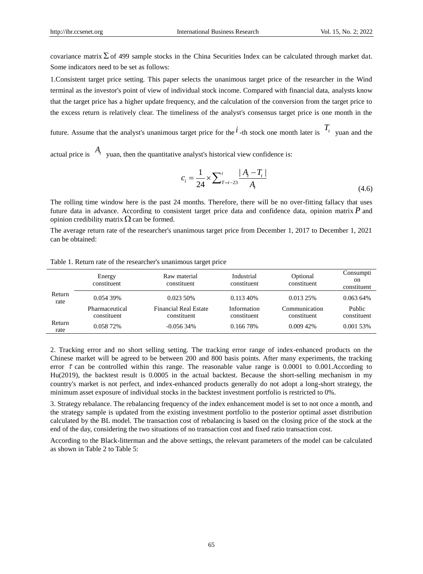covariance matrix  $\Sigma$  of 499 sample stocks in the China Securities Index can be calculated through market dat. Some indicators need to be set as follows:

1.Consistent target price setting. This paper selects the unanimous target price of the researcher in the Wind terminal as the investor's point of view of individual stock income. Compared with financial data, analysts know that the target price has a higher update frequency, and the calculation of the conversion from the target price to the excess return is relatively clear. The timeliness of the analyst's consensus target price is one month in the

future. Assume that the analyst's unanimous target price for the  $i$ -th stock one month later is  $T_t$  yuan and the

actual price is  $A_t$  yuan, then the quantitative analyst's historical view confidence is:

$$
c_i = \frac{1}{24} \times \sum_{T=t-23}^{t} \frac{|A_i - T_t|}{A_t}
$$
\n(4.6)

The rolling time window here is the past 24 months. Therefore, there will be no over-fitting fallacy that uses future data in advance. According to consistent target price data and confidence data, opinion matrix *P* and opinion credibility matrix  $\Omega$  can be formed.

The average return rate of the researcher's unanimous target price from December 1, 2017 to December 1, 2021 can be obtained:

|                | Energy<br>constituent         | Raw material<br>constituent                 | Industrial<br>constituent  | Optional<br>constituent      | Consumpti<br>on<br>constituent |
|----------------|-------------------------------|---------------------------------------------|----------------------------|------------------------------|--------------------------------|
| Return<br>rate | 0.054 39%                     | 0.023 50%                                   | $0.11340\%$                | $0.01325\%$                  | $0.06364\%$                    |
|                | Pharmaceutical<br>constituent | <b>Financial Real Estate</b><br>constituent | Information<br>constituent | Communication<br>constituent | Public<br>constituent          |
| Return<br>rate | 0.058 72%                     | $-0.05634\%$                                | 0.166 78%                  | 0.00942%                     | 0.001 53%                      |

Table 1. Return rate of the researcher's unanimous target price

2. Tracking error and no short selling setting. The tracking error range of index-enhanced products on the Chinese market will be agreed to be between 200 and 800 basis points. After many experiments, the tracking error  $\tau$  can be controlled within this range. The reasonable value range is 0.0001 to 0.001. According to Hu(2019), the backtest result is 0.0005 in the actual backtest. Because the short-selling mechanism in my country's market is not perfect, and index-enhanced products generally do not adopt a long-short strategy, the minimum asset exposure of individual stocks in the backtest investment portfolio is restricted to 0%.

3. Strategy rebalance. The rebalancing frequency of the index enhancement model is set to not once a month, and the strategy sample is updated from the existing investment portfolio to the posterior optimal asset distribution calculated by the BL model. The transaction cost of rebalancing is based on the closing price of the stock at the end of the day, considering the two situations of no transaction cost and fixed ratio transaction cost.

According to the Black-litterman and the above settings, the relevant parameters of the model can be calculated as shown in Table 2 to Table 5: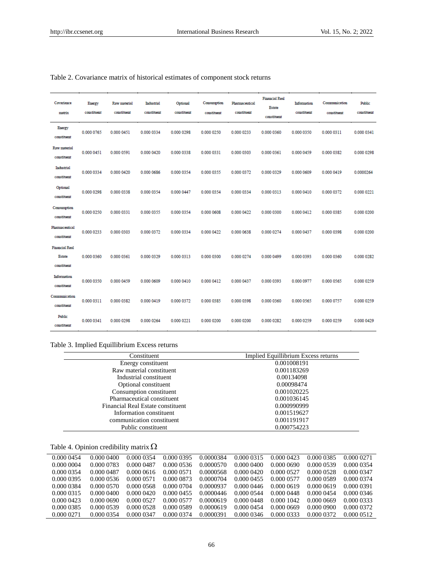| Covariance<br>matrix                                  | Energy<br>constituent | Raw material<br>constituent | Industrial<br>constituent | Optional<br>constituent | Consumption<br>constituent | Pharmaceutical<br>constituent | <b>Financial Real</b><br><b>Estate</b><br>constituent | Information<br>constituent | Communication<br>constituent | <b>Public</b><br>constituent |
|-------------------------------------------------------|-----------------------|-----------------------------|---------------------------|-------------------------|----------------------------|-------------------------------|-------------------------------------------------------|----------------------------|------------------------------|------------------------------|
| <b>Energy</b><br>constituent                          | 0.000 0765            | 0.000 0451                  | 0.000 0334                | 0.000 0298              | 0.000 0250                 | 0.000 0233                    | 0.000 0360                                            | 0.000 0350                 | 0.000 0311                   | 0.000 0341                   |
| Raw material<br>constituent                           | 0.000 0451            | 0.000 0591                  | 0.000 0420                | 0.000 0338              | 0.000 0331                 | 0.000 0303                    | 0.000 0361                                            | 0.000 0459                 | 0.000 0382                   | 0.000 0298                   |
| Industrial<br>constituent                             | 0.000 0334            | 0.000 0420                  | 0.000 0686                | 0.000 0354              | 0.000 0355                 | 0.000 0372                    | 0.000 0329                                            | 0.000 0609                 | 0.000 0419                   | 0.0000264                    |
| Optional<br>constituent                               | 0.000 0298            | 0.000 0338                  | 0.000 0354                | 0.000 0447              | 0.000 0354                 | 0.000 0334                    | 0.000 0313                                            | 0.000 0410                 | 0.000 0372                   | 0.000 0221                   |
| Consumption<br>constituent                            | 0.000 0250            | 0.000 0331                  | 0.000 0355                | 0.000 0354              | 0.000 0608                 | 0.000 0422                    | 0.000 0300                                            | 0.000 0412                 | 0.000 0385                   | 0.000 0200                   |
| Pharmaceutical<br>constituent                         | 0.000 0233            | 0.000 0303                  | 0.000 0372                | 0.000 0334              | 0.000 0422                 | 0.000 0638                    | 0.000 0274                                            | 0.000 0437                 | 0.000 0398                   | 0.000 0200                   |
| <b>Financial Real</b><br><b>Estate</b><br>constituent | 0.000 0360            | 0.000 0361                  | 0.000 0329                | 0.000 0313              | 0.000 0300                 | 0.000 0274                    | 0.000 0499                                            | 0.000 0393                 | 0.000 0360                   | 0.000 0282                   |
| Information<br>constituent                            | 0.000 0350            | 0.000 0459                  | 0.000 0609                | 0.000 0410              | 0.000 0412                 | 0.000 0437                    | 0.000 0393                                            | 0.000 0977                 | 0.000 0565                   | 0.000 0259                   |
| Communication<br>constituent                          | 0.000 0311            | 0.000 0382                  | 0.000 0419                | 0.000 0372              | 0.000 0385                 | 0.000 0398                    | 0.000 0360                                            | 0.000 0565                 | 0.000 0757                   | 0.000 0259                   |
| Public<br>constituent                                 | 0.000 0341            | 0.000 0298                  | 0.000 0264                | 0.000 0221              | 0.000 0200                 | 0.000 0200                    | 0.000 0282                                            | 0.000 0259                 | 0.000 0259                   | 0.000 0429                   |

# Table 2. Covariance matrix of historical estimates of component stock returns

# Table 3. Implied Equillibrium Excess returns

| Constituent                       | Implied Equillibrium Excess returns |
|-----------------------------------|-------------------------------------|
| Energy constituent                | 0.001008191                         |
| Raw material constituent          | 0.001183269                         |
| Industrial constituent            | 0.00134098                          |
| Optional constituent              | 0.00098474                          |
| Consumption constituent           | 0.001020225                         |
| Pharmaceutical constituent        | 0.001036145                         |
| Financial Real Estate constituent | 0.000990999                         |
| Information constituent           | 0.001519627                         |
| communication constituent         | 0.001191917                         |
| Public constituent                | 0.000754223                         |

Table 4. Opinion credibility matrix  $\Omega$ 

 $\overline{\phantom{a}}$ 

| 0.000 0454 | 0.00000400 | 0.000 0354 | 0.000 0395 | 0.0000384 | 0.000 0315 | 0.000 0423 | 0.000 0385 | 0.000 0271 |
|------------|------------|------------|------------|-----------|------------|------------|------------|------------|
| 0.000 0004 | 0.000 0783 | 0.000 0487 | 0.000 0536 | 0.0000570 | 0.0000400  | 0.000 0690 | 0.000 0539 | 0.000 0354 |
| 0.000 0354 | 0.000 0487 | 0.00000616 | 0.000 0571 | 0.0000568 | 0.000 0420 | 0.000 0527 | 0.000 0528 | 0.000 0347 |
| 0.000 0395 | 0.000 0536 | 0.000 0571 | 0.000 0873 | 0.0000704 | 0.000 0455 | 0.000 0577 | 0.000 0589 | 0.000 0374 |
| 0.000 0384 | 0.000 0570 | 0.000 0568 | 0.000 0704 | 0.0000937 | 0.000 0446 | 0.000 0619 | 0.000 0619 | 0.000 0391 |
| 0.000 0315 | 0.000 0400 | 0.000 0420 | 0.000 0455 | 0.0000446 | 0.000 0544 | 0.000 0448 | 0.000 0454 | 0.000 0346 |
| 0.000 0423 | 0.000 0690 | 0.000 0527 | 0.000 0577 | 0.0000619 | 0.000 0448 | 0.000 1042 | 0.00000669 | 0.000 0333 |
| 0.000 0385 | 0.000 0539 | 0.000 0528 | 0.000 0589 | 0.0000619 | 0.000 0454 | 0.000 0669 | 0.000 0900 | 0.000 0372 |
| 0.000 0271 | 0.000 0354 | 0.000 0347 | 0.000 0374 | 0.0000391 | 0.000 0346 | 0.000 0333 | 0.000 0372 | 0.000 0512 |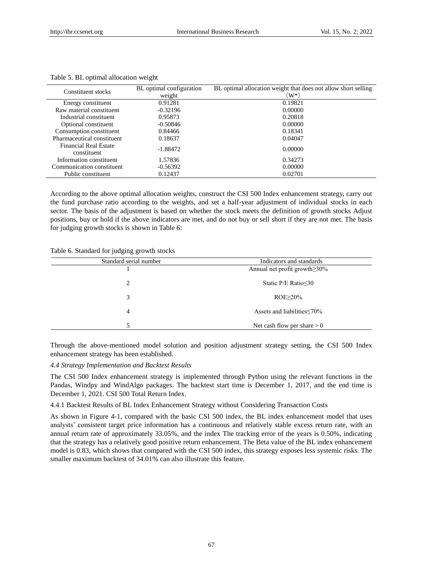| Constituent stocks                   | BL optimal configuration<br>weight | BL optimal allocation weight that does not allow short selling<br>$(W^*)$ |
|--------------------------------------|------------------------------------|---------------------------------------------------------------------------|
| Energy constituent                   | 0.91281                            | 0.19821                                                                   |
| Raw material constituent             | $-0.32196$                         | 0.00000                                                                   |
| Industrial constituent               | 0.95873                            | 0.20818                                                                   |
| Optional constituent                 | $-0.50846$                         | 0.00000                                                                   |
| Consumption constituent              | 0.84466                            | 0.18341                                                                   |
| Pharmaceutical constituent           | 0.18637                            | 0.04047                                                                   |
| Financial Real Estate<br>constituent | $-1.88472$                         | 0.00000                                                                   |
| Information constituent              | 1.57836                            | 0.34273                                                                   |
| Communication constituent            | $-0.56392$                         | 0.00000                                                                   |
| Public constituent                   | 0.12437                            | 0.02701                                                                   |

#### Table 5. BL optimal allocation weight

According to the above optimal allocation weights, construct the CSI 500 Index enhancement strategy, carry out the fund purchase ratio according to the weights, and set a half-year adjustment of individual stocks in each sector. The basis of the adjustment is based on whether the stock meets the definition of growth stocks Adjust positions, buy or hold if the above indicators are met, and do not buy or sell short if they are not met. The basis for judging growth stocks is shown in Table 6:

#### Table 6. Standard for judging growth stocks

| Standard serial number | Indicators and standards            |
|------------------------|-------------------------------------|
|                        | Annual net profit growth $\geq$ 30% |
| 2                      | Static $P/E$ Ratio $\leq 30$        |
| 3                      | $ROE \geq 20\%$                     |
| 4                      | Assets and liabilities $\leq 70\%$  |
|                        | Net cash flow per share $> 0$       |

Through the above-mentioned model solution and position adjustment strategy setting, the CSI 500 Index enhancement strategy has been established.

#### *4.4 Strategy Implementation and Backtest Results*

The CSI 500 Index enhancement strategy is implemented through Python using the relevant functions in the Pandas, Windpy and WindAlgo packages. The backtest start time is December 1, 2017, and the end time is December 1, 2021. CSI 500 Total Return Index.

4.4.1 Backtest Results of BL Index Enhancement Strategy without Considering Transaction Costs

As shown in Figure 4-1, compared with the basic CSI 500 index, the BL index enhancement model that uses analysts' consistent target price information has a continuous and relatively stable excess return rate, with an annual return rate of approximately 33.05%, and the index The tracking error of the years is 0.50%, indicating that the strategy has a relatively good positive return enhancement. The Beta value of the BL index enhancement model is 0.83, which shows that compared with the CSI 500 index, this strategy exposes less systemic risks. The smaller maximum backtest of 34.01% can also illustrate this feature.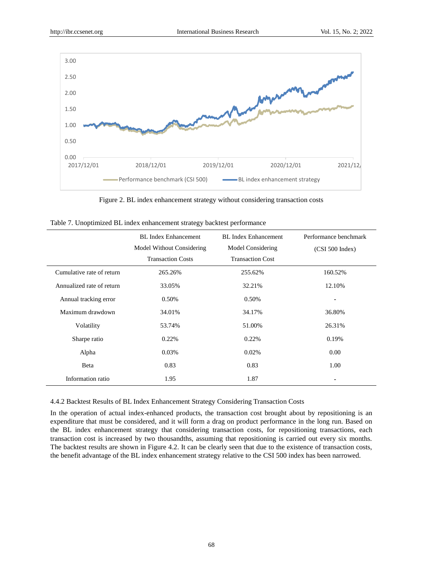

Figure 2. BL index enhancement strategy without considering transaction costs

|                           | <b>BL</b> Index Enhancement | <b>BL</b> Index Enhancement | Performance benchmark |
|---------------------------|-----------------------------|-----------------------------|-----------------------|
|                           | Model Without Considering   | Model Considering           | (CSI 500 Index)       |
|                           | <b>Transaction Costs</b>    | <b>Transaction Cost</b>     |                       |
| Cumulative rate of return | 265.26%                     | 255.62%                     | 160.52%               |
| Annualized rate of return | 33.05%                      | 32.21%                      | 12.10%                |
| Annual tracking error     | 0.50%                       | 0.50%                       | ۰                     |
| Maximum drawdown          | 34.01%                      | 34.17%                      | 36.80%                |
| Volatility                | 53.74%                      | 51.00%                      | 26.31%                |
| Sharpe ratio              | 0.22%                       | 0.22%                       | 0.19%                 |
| Alpha                     | 0.03%                       | 0.02%                       | 0.00                  |
| Beta                      | 0.83                        | 0.83                        | 1.00                  |
| Information ratio         | 1.95                        | 1.87                        | ۰                     |

|  |  |  |  | Table 7. Unoptimized BL index enhancement strategy backtest performance |  |  |  |
|--|--|--|--|-------------------------------------------------------------------------|--|--|--|
|--|--|--|--|-------------------------------------------------------------------------|--|--|--|

4.4.2 Backtest Results of BL Index Enhancement Strategy Considering Transaction Costs

In the operation of actual index-enhanced products, the transaction cost brought about by repositioning is an expenditure that must be considered, and it will form a drag on product performance in the long run. Based on the BL index enhancement strategy that considering transaction costs, for repositioning transactions, each transaction cost is increased by two thousandths, assuming that repositioning is carried out every six months. The backtest results are shown in Figure 4.2. It can be clearly seen that due to the existence of transaction costs, the benefit advantage of the BL index enhancement strategy relative to the CSI 500 index has been narrowed.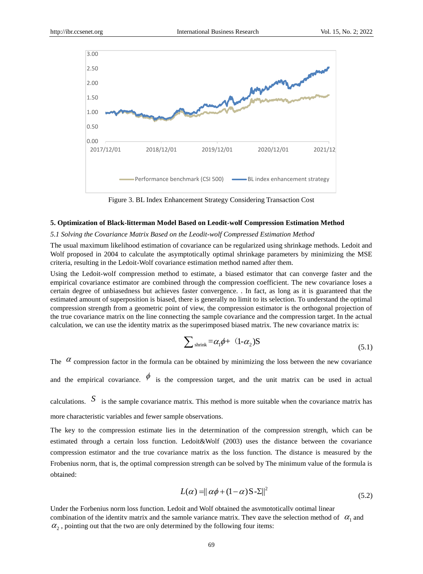

Figure 3. BL Index Enhancement Strategy Considering Transaction Cost

## **5. Optimization of Black-litterman Model Based on Leodit-wolf Compression Estimation Method**

# *5.1 Solving the Covariance Matrix Based on the Leodit-wolf Compressed Estimation Method*

The usual maximum likelihood estimation of covariance can be regularized using shrinkage methods. Ledoit and Wolf proposed in 2004 to calculate the asymptotically optimal shrinkage parameters by minimizing the MSE criteria, resulting in the Ledoit-Wolf covariance estimation method named after them.

Using the Ledoit-wolf compression method to estimate, a biased estimator that can converge faster and the empirical covariance estimator are combined through the compression coefficient. The new covariance loses a certain degree of unbiasedness but achieves faster convergence. . In fact, as long as it is guaranteed that the estimated amount of superposition is biased, there is generally no limit to its selection. To understand the optimal compression strength from a geometric point of view, the compression estimator is the orthogonal projection of the true covariance matrix on the line connecting the sample covariance and the compression target. In the actual calculation, we can use the identity matrix as the superimposed biased matrix. The new covariance matrix is:

$$
\sum_{\text{shrink}} = \alpha_1 \phi + (1 - \alpha_2) S \tag{5.1}
$$

The  $\alpha$  compression factor in the formula can be obtained by minimizing the loss between the new covariance and the empirical covariance.  $\phi$  is the compression target, and the unit matrix can be used in actual calculations.  $S$  is the sample covariance matrix. This method is more suitable when the covariance matrix has more characteristic variables and fewer sample observations.

The key to the compression estimate lies in the determination of the compression strength, which can be estimated through a certain loss function. Ledoit&Wolf (2003) uses the distance between the covariance compression estimator and the true covariance matrix as the loss function. The distance is measured by the Frobenius norm, that is, the optimal compression strength can be solved by The minimum value of the formula is obtained:

$$
L(\alpha) = ||\alpha\phi + (1 - \alpha)S - \Sigma||^2
$$
\n(5.2)

Under the Forbenius norm loss function, Ledoit and Wolf obtained the asymptotically optimal linear combination of the identity matrix and the sample variance matrix. They gave the selection method of  $\alpha_1$  and  $\alpha_2$ , pointing out that the two are only determined by the following four items: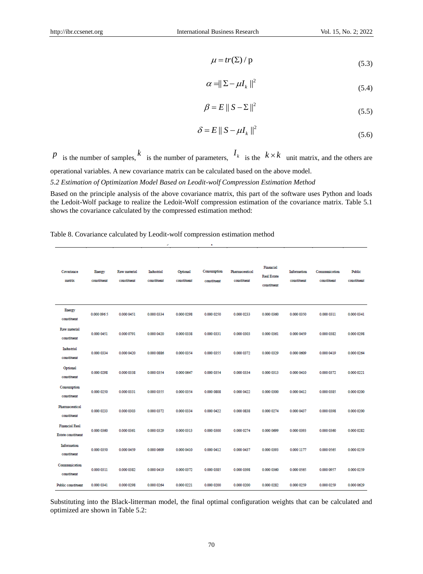$$
\mu = tr(\Sigma) / p \tag{5.3}
$$

$$
\alpha = \|\Sigma - \mu I_k\|^2 \tag{5.4}
$$

$$
\beta = E \parallel S - \Sigma \parallel^2 \tag{5.5}
$$

$$
\delta = E \parallel S - \mu I_k \parallel^2 \tag{5.6}
$$

# Table 8. Covariance calculated by Leodit-wolf compression estimation method

|                                                         |                                              |                             |                           |                         |                                                                     | $\mu = tr(\Sigma) / p$                                                                                                                                                              |                                         |                            |                                                                                                                                                                                                                               | (5.3)                 |
|---------------------------------------------------------|----------------------------------------------|-----------------------------|---------------------------|-------------------------|---------------------------------------------------------------------|-------------------------------------------------------------------------------------------------------------------------------------------------------------------------------------|-----------------------------------------|----------------------------|-------------------------------------------------------------------------------------------------------------------------------------------------------------------------------------------------------------------------------|-----------------------|
|                                                         | $\alpha =   \Sigma - \mu I_k  ^2$            |                             |                           |                         |                                                                     |                                                                                                                                                                                     |                                         |                            |                                                                                                                                                                                                                               | (5.4)                 |
|                                                         | $\beta = E \parallel S - \Sigma \parallel^2$ |                             |                           |                         |                                                                     |                                                                                                                                                                                     |                                         |                            |                                                                                                                                                                                                                               | (5.5)                 |
|                                                         |                                              |                             |                           |                         |                                                                     | $\delta = E    S - \mu I_{k}   ^{2}$                                                                                                                                                |                                         |                            |                                                                                                                                                                                                                               |                       |
|                                                         |                                              |                             |                           |                         |                                                                     |                                                                                                                                                                                     |                                         |                            |                                                                                                                                                                                                                               | (5.6)                 |
| $\mu$ is the number of samples, $k$                     |                                              |                             |                           |                         |                                                                     |                                                                                                                                                                                     |                                         |                            | is the number of parameters, $I_k$ is the $k \times k$ unit matrix, and the others and                                                                                                                                        |                       |
|                                                         |                                              |                             |                           |                         |                                                                     | perational variables. A new covariance matrix can be calculated based on the above model.<br>.2 Estimation of Optimization Model Based on Leodit-wolf Compression Estimation Method |                                         |                            |                                                                                                                                                                                                                               |                       |
|                                                         |                                              |                             |                           |                         | hows the covariance calculated by the compressed estimation method: | able 8. Covariance calculated by Leodit-wolf compression estimation method                                                                                                          |                                         |                            | lased on the principle analysis of the above covariance matrix, this part of the software uses Python and load<br>ne Ledoit-Wolf package to realize the Ledoit-Wolf compression estimation of the covariance matrix. Table 5. |                       |
| Covariance<br>matrix                                    | <b>Energy</b><br>constituent                 | Raw material<br>constituent | Industrial<br>constituent | Optional<br>constituent | Consumption<br>constituent                                          | Pharmaceutical<br>constituent                                                                                                                                                       | Financial<br>Real Estate<br>constituent | Information<br>constituent | Communication<br>constituent                                                                                                                                                                                                  | Public<br>constituent |
| Energy<br>constituent                                   | 0.000 096 5                                  | 0.000 0451                  | 0.000 0334                | 0.000 0298              | 0.000 0250                                                          | 0.000 0233                                                                                                                                                                          | 0.000 0360                              | 0.000 0350                 | 0.000 0311                                                                                                                                                                                                                    | 0.000 0341            |
| Raw material<br>constituent                             | 0.000 0451                                   | 0.000 0791                  | 0.000 0420                | 0.000 0338              | 0.000 0331                                                          | 0.000 0303                                                                                                                                                                          | 0.000 0361                              | 0.000 0459                 | 0.000 0382                                                                                                                                                                                                                    | 0.000 0298            |
|                                                         |                                              |                             |                           |                         |                                                                     |                                                                                                                                                                                     |                                         |                            |                                                                                                                                                                                                                               | 0.000 0264            |
| Industrial<br>constituent                               | 0.000 0334                                   | 0.000 0420                  | 0.000 0886                | 0.000 0354              | 0.000 0355                                                          | 0.000 0372                                                                                                                                                                          | 0.000 0329                              | 0.000 0609                 | 0.000 0419                                                                                                                                                                                                                    |                       |
| Optional<br>constituent                                 | 0.000 0298                                   | 0.000 0338                  | 0.000 0354                | 0.000 0647              | 0.000 0354                                                          | 0.000 0334                                                                                                                                                                          | 0.000 0313                              | 0.000 0410                 | 0.000 0372                                                                                                                                                                                                                    | 0.000 0221            |
| Consumption<br>constituent                              | 0.000 0250                                   | 0.000 0331                  | 0.000 0355                | 0.000 0354              | 0.000 0808                                                          | 0.000 0422                                                                                                                                                                          | 0.000 0300                              | 0.000 0412                 | 0.000 0385                                                                                                                                                                                                                    | 0.000 0200            |
| Pharmaceutical<br>constituent                           | 0.000 0233                                   | 0.000 0303                  | 0.000 0372                | 0.000 0334              | 0.000 0422                                                          | 0.000 0838                                                                                                                                                                          | 0.000 0274                              | 0.000 0437                 | 0.000 0398                                                                                                                                                                                                                    | 0.000 0200            |
| <b>Financial Real</b>                                   | 0.000 0360                                   | 0.000 0361                  | 0.000 0329                | 0.000 0313              | 0.000 0300                                                          | 0.000 0274                                                                                                                                                                          | 0.000 0699                              | 0.000 0393                 | 0.000 0360                                                                                                                                                                                                                    | 0.000 0282            |
| <b>Estate constituent</b><br>Information<br>constituent | 0.000 0350                                   | 0.000 0459                  | 0.000 0609                | 0.000 0410              | 0.000 0412                                                          | 0.000 0437                                                                                                                                                                          | 0.000 0393                              | 0.000 1177                 | 0.000 0565                                                                                                                                                                                                                    | 0.000 0259            |
| Communication<br>constituent                            | 0.000 0311                                   | 0.000 0382                  | 0.000 0419                | 0.000 0372              | 0.000 0385                                                          | 0.000 0398                                                                                                                                                                          | 0.000 0360                              | 0.000 0565                 | 0.000 0957                                                                                                                                                                                                                    | 0.000 0259            |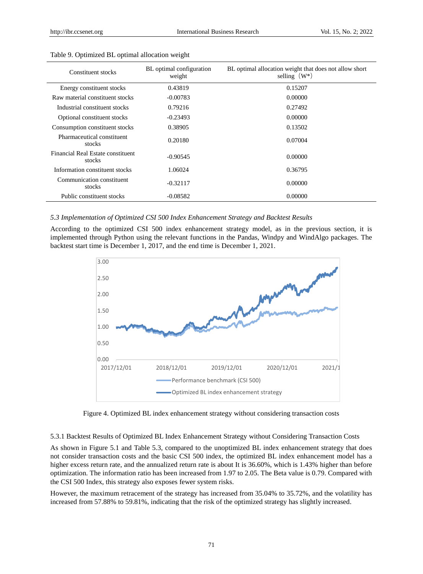| Constituent stocks                          | BL optimal configuration<br>weight | BL optimal allocation weight that does not allow short<br>selling $(W^*)$ |
|---------------------------------------------|------------------------------------|---------------------------------------------------------------------------|
| Energy constituent stocks                   | 0.43819                            | 0.15207                                                                   |
| Raw material constituent stocks             | $-0.00783$                         | 0.00000                                                                   |
| Industrial constituent stocks               | 0.79216                            | 0.27492                                                                   |
| Optional constituent stocks                 | $-0.23493$                         | 0.00000                                                                   |
| Consumption constituent stocks              | 0.38905                            | 0.13502                                                                   |
| Pharmaceutical constituent<br>stocks        | 0.20180                            | 0.07004                                                                   |
| Financial Real Estate constituent<br>stocks | $-0.90545$                         | 0.00000                                                                   |
| Information constituent stocks              | 1.06024                            | 0.36795                                                                   |
| Communication constituent<br>stocks         | $-0.32117$                         | 0.00000                                                                   |
| Public constituent stocks                   | $-0.08582$                         | 0.00000                                                                   |

#### Table 9. Optimized BL optimal allocation weight

# *5.3 Implementation of Optimized CSI 500 Index Enhancement Strategy and Backtest Results*

According to the optimized CSI 500 index enhancement strategy model, as in the previous section, it is implemented through Python using the relevant functions in the Pandas, Windpy and WindAlgo packages. The backtest start time is December 1, 2017, and the end time is December 1, 2021.



Figure 4. Optimized BL index enhancement strategy without considering transaction costs

5.3.1 Backtest Results of Optimized BL Index Enhancement Strategy without Considering Transaction Costs

As shown in Figure 5.1 and Table 5.3, compared to the unoptimized BL index enhancement strategy that does not consider transaction costs and the basic CSI 500 index, the optimized BL index enhancement model has a higher excess return rate, and the annualized return rate is about It is 36.60%, which is 1.43% higher than before optimization. The information ratio has been increased from 1.97 to 2.05. The Beta value is 0.79. Compared with the CSI 500 Index, this strategy also exposes fewer system risks.

However, the maximum retracement of the strategy has increased from 35.04% to 35.72%, and the volatility has increased from 57.88% to 59.81%, indicating that the risk of the optimized strategy has slightly increased.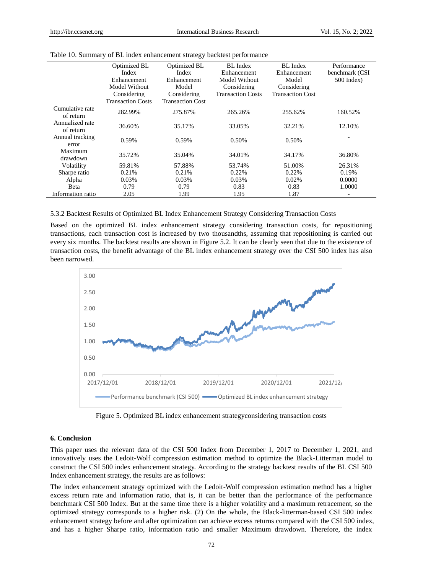|                              | Optimized BL<br>Index<br>Enhancement<br>Model Without<br>Considering<br><b>Transaction Costs</b> | Optimized BL<br>Index<br>Enhancement<br>Model<br>Considering<br><b>Transaction Cost</b> | BL Index<br>Enhancement<br>Model Without<br>Considering<br><b>Transaction Costs</b> | BL Index<br>Enhancement<br>Model<br>Considering<br><b>Transaction Cost</b> | Performance<br>benchmark (CSI<br>$500$ Index) |
|------------------------------|--------------------------------------------------------------------------------------------------|-----------------------------------------------------------------------------------------|-------------------------------------------------------------------------------------|----------------------------------------------------------------------------|-----------------------------------------------|
| Cumulative rate<br>of return | 282.99%                                                                                          | 275.87%                                                                                 | 265.26%                                                                             | 255.62%                                                                    | 160.52%                                       |
| Annualized rate<br>of return | 36.60%                                                                                           | 35.17%                                                                                  | 33.05%                                                                              | 32.21%                                                                     | 12.10%                                        |
| Annual tracking<br>error     | 0.59%                                                                                            | 0.59%                                                                                   | 0.50%                                                                               | 0.50%                                                                      |                                               |
| Maximum<br>drawdown          | 35.72%                                                                                           | 35.04%                                                                                  | 34.01%                                                                              | 34.17%                                                                     | 36.80%                                        |
| Volatility                   | 59.81%                                                                                           | 57.88%                                                                                  | 53.74%                                                                              | 51.00%                                                                     | 26.31%                                        |
| Sharpe ratio                 | 0.21%                                                                                            | 0.21%                                                                                   | 0.22%                                                                               | 0.22%                                                                      | 0.19%                                         |
| Alpha                        | 0.03%                                                                                            | 0.03%                                                                                   | 0.03%                                                                               | 0.02%                                                                      | 0.0000                                        |
| <b>B</b> eta                 | 0.79                                                                                             | 0.79                                                                                    | 0.83                                                                                | 0.83                                                                       | 1.0000                                        |
| Information ratio            | 2.05                                                                                             | 1.99                                                                                    | 1.95                                                                                | 1.87                                                                       |                                               |

|  | Table 10. Summary of BL index enhancement strategy backtest performance |  |  |
|--|-------------------------------------------------------------------------|--|--|
|  |                                                                         |  |  |

#### 5.3.2 Backtest Results of Optimized BL Index Enhancement Strategy Considering Transaction Costs

Based on the optimized BL index enhancement strategy considering transaction costs, for repositioning transactions, each transaction cost is increased by two thousandths, assuming that repositioning is carried out every six months. The backtest results are shown in Figure 5.2. It can be clearly seen that due to the existence of transaction costs, the benefit advantage of the BL index enhancement strategy over the CSI 500 index has also been narrowed.



Figure 5. Optimized BL index enhancement strategyconsidering transaction costs

#### **6. Conclusion**

This paper uses the relevant data of the CSI 500 Index from December 1, 2017 to December 1, 2021, and innovatively uses the Ledoit-Wolf compression estimation method to optimize the Black-Litterman model to construct the CSI 500 index enhancement strategy. According to the strategy backtest results of the BL CSI 500 Index enhancement strategy, the results are as follows:

The index enhancement strategy optimized with the Ledoit-Wolf compression estimation method has a higher excess return rate and information ratio, that is, it can be better than the performance of the performance benchmark CSI 500 Index. But at the same time there is a higher volatility and a maximum retracement, so the optimized strategy corresponds to a higher risk. (2) On the whole, the Black-litterman-based CSI 500 index enhancement strategy before and after optimization can achieve excess returns compared with the CSI 500 index, and has a higher Sharpe ratio, information ratio and smaller Maximum drawdown. Therefore, the index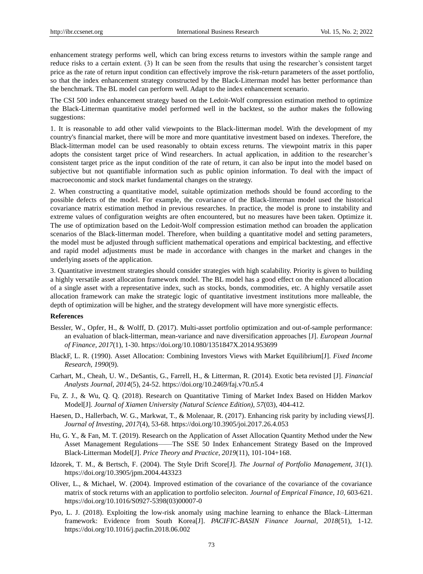enhancement strategy performs well, which can bring excess returns to investors within the sample range and reduce risks to a certain extent. (3) It can be seen from the results that using the researcher's consistent target price as the rate of return input condition can effectively improve the risk-return parameters of the asset portfolio, so that the index enhancement strategy constructed by the Black-Litterman model has better performance than the benchmark. The BL model can perform well. Adapt to the index enhancement scenario.

The CSI 500 index enhancement strategy based on the Ledoit-Wolf compression estimation method to optimize the Black-Litterman quantitative model performed well in the backtest, so the author makes the following suggestions:

1. It is reasonable to add other valid viewpoints to the Black-litterman model. With the development of my country's financial market, there will be more and more quantitative investment based on indexes. Therefore, the Black-litterman model can be used reasonably to obtain excess returns. The viewpoint matrix in this paper adopts the consistent target price of Wind researchers. In actual application, in addition to the researcher's consistent target price as the input condition of the rate of return, it can also be input into the model based on subjective but not quantifiable information such as public opinion information. To deal with the impact of macroeconomic and stock market fundamental changes on the strategy.

2. When constructing a quantitative model, suitable optimization methods should be found according to the possible defects of the model. For example, the covariance of the Black-litterman model used the historical covariance matrix estimation method in previous researches. In practice, the model is prone to instability and extreme values of configuration weights are often encountered, but no measures have been taken. Optimize it. The use of optimization based on the Ledoit-Wolf compression estimation method can broaden the application scenarios of the Black-litterman model. Therefore, when building a quantitative model and setting parameters, the model must be adjusted through sufficient mathematical operations and empirical backtesting, and effective and rapid model adjustments must be made in accordance with changes in the market and changes in the underlying assets of the application.

3. Quantitative investment strategies should consider strategies with high scalability. Priority is given to building a highly versatile asset allocation framework model. The BL model has a good effect on the enhanced allocation of a single asset with a representative index, such as stocks, bonds, commodities, etc. A highly versatile asset allocation framework can make the strategic logic of quantitative investment institutions more malleable, the depth of optimization will be higher, and the strategy development will have more synergistic effects.

#### **References**

- Bessler, W., Opfer, H., & Wolff, D. (2017). Multi-asset portfolio optimization and out-of-sample performance: an evaluation of black-litterman, mean-variance and nave diversification approaches [J]. *European Journal of Finance, 2017*(1), 1-30. https://doi.org/10.1080/1351847X.2014.953699
- BlackF, L. R. (1990). Asset Allocation: Combining Investors Views with Market Equilibrium[J]. *Fixed Income Research, 1990*(9).
- Carhart, M., Cheah, U. W., DeSantis, G., Farrell, H., & Litterman, R. (2014). Exotic beta revisted [J]. *Financial Analysts Journal, 2014*(5), 24-52. https://doi.org/10.2469/faj.v70.n5.4
- Fu, Z. J., & Wu, Q. Q. (2018). Research on Quantitative Timing of Market Index Based on Hidden Markov Model[J]. *Journal of Xiamen University (Natural Science Edition), 57*(03), 404-412.
- Haesen, D., Hallerbach, W. G., Markwat, T., & Molenaar, R. (2017). Enhancing risk parity by including views[J]. *Journal of Investing, 2017*(4), 53-68. https://doi.org/10.3905/joi.2017.26.4.053
- Hu, G. Y., & Fan, M. T. (2019). Research on the Application of Asset Allocation Quantity Method under the New Asset Management Regulations——The SSE 50 Index Enhancement Strategy Based on the Improved Black-Litterman Model[J]. *Price Theory and Practice, 2019*(11), 101-104+168.
- Idzorek, T. M., & Bertsch, F. (2004). The Style Drift Score[J]. *The Journal of Portfolio Management, 31*(1). https://doi.org/10.3905/jpm.2004.443323
- Oliver, L., & Michael, W. (2004). Improved estimation of the covariance of the covariance of the covariance matrix of stock returns with an application to portfolio seleciton. *Journal of Emprical Finance, 10,* 603-621. https://doi.org/10.1016/S0927-5398(03)00007-0
- Pyo, L. J. (2018). Exploiting the low-risk anomaly using machine learning to enhance the Black–Litterman framework: Evidence from South Korea[J]. *PACIFIC-BASIN Finance Journal, 2018*(51), 1-12. https://doi.org/10.1016/j.pacfin.2018.06.002